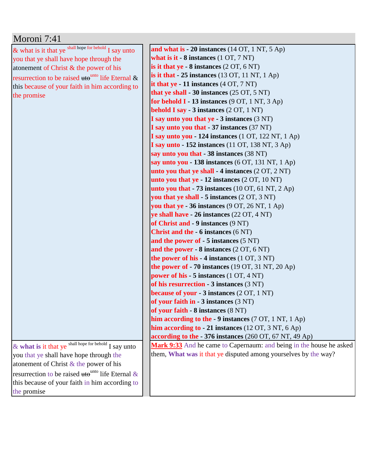| Moroni 7:41                                                         |                                                                     |
|---------------------------------------------------------------------|---------------------------------------------------------------------|
| & what is it that ye shall hope for behold I say unto               | and what is $-20$ instances (14 OT, 1 NT, 5 Ap)                     |
| you that ye shall have hope through the                             | what is it $-8$ instances $(1 OT, 7 NT)$                            |
| atonement of Christ & the power of his                              | is it that ye $-8$ instances $(2 OT, 6 NT)$                         |
| resurrection to be raised $\text{tte}^{\text{unto}}$ life Eternal & | is it that $-25$ instances (13 OT, 11 NT, 1 Ap)                     |
| this because of your faith in him according to                      | it that $ye - 11$ instances $(4 OT, 7 NT)$                          |
| the promise                                                         | that ye shall - 30 instances $(25 \text{ OT}, 5 \text{ NT})$        |
|                                                                     | for behold $I - 13$ instances (9 OT, 1 NT, 3 Ap)                    |
|                                                                     | <b>behold I say - 3 instances</b> (2 OT, 1 NT)                      |
|                                                                     | I say unto you that ye - 3 instances (3 NT)                         |
|                                                                     | I say unto you that - 37 instances (37 NT)                          |
|                                                                     | I say unto you - 124 instances (1 OT, 122 NT, 1 Ap)                 |
|                                                                     | <b>I say unto - 152 instances</b> (11 OT, 138 NT, 3 Ap)             |
|                                                                     | say unto you that - 38 instances (38 NT)                            |
|                                                                     | say unto you - 138 instances (6 OT, 131 NT, 1 Ap)                   |
|                                                                     | unto you that ye shall $-4$ instances $(2 OT, 2 NT)$                |
|                                                                     | unto you that $ye - 12$ instances $(2 OT, 10 NT)$                   |
|                                                                     | unto you that $-73$ instances (10 OT, 61 NT, 2 Ap)                  |
|                                                                     | you that ye shall - 5 instances (2 OT, 3 NT)                        |
|                                                                     | you that ye - 36 instances (9 OT, 26 NT, 1 Ap)                      |
|                                                                     | ye shall have - 26 instances (22 OT, 4 NT)                          |
|                                                                     | of Christ and - 9 instances (9 NT)                                  |
|                                                                     | <b>Christ and the - 6 instances (6 NT)</b>                          |
|                                                                     | and the power of $-5$ instances $(5 \text{ NT})$                    |
|                                                                     | and the power - $8$ instances $(2 OT, 6 NT)$                        |
|                                                                     | the power of his - 4 instances (1 OT, 3 NT)                         |
|                                                                     | the power of $-70$ instances (19 OT, 31 NT, 20 Ap)                  |
|                                                                     | power of his - 5 instances (1 OT, 4 NT)                             |
|                                                                     | of his resurrection - 3 instances (3 NT)                            |
|                                                                     | because of your - 3 instances (2 OT, 1 NT)                          |
|                                                                     | of your faith in $-3$ instances $(3 \text{ NT})$                    |
|                                                                     | of your faith - 8 instances (8 NT)                                  |
|                                                                     | him according to the - 9 instances (7 OT, 1 NT, 1 Ap)               |
|                                                                     | him according to - 21 instances (12 OT, 3 NT, 6 Ap)                 |
|                                                                     | according to the - 376 instances (260 OT, 67 NT, 49 Ap)             |
| & what is it that ye shall hope for behold I say unto               | Mark 9:33 And he came to Capernaum: and being in the house he asked |
| you that ye shall have hope through the                             | them, What was it that ye disputed among yourselves by the way?     |
| atonement of Christ $\&$ the power of his                           |                                                                     |
| resurrection to be raised $\text{ute}^{\text{unto}}$ life Eternal & |                                                                     |
| this because of your faith in him according to                      |                                                                     |
| the promise                                                         |                                                                     |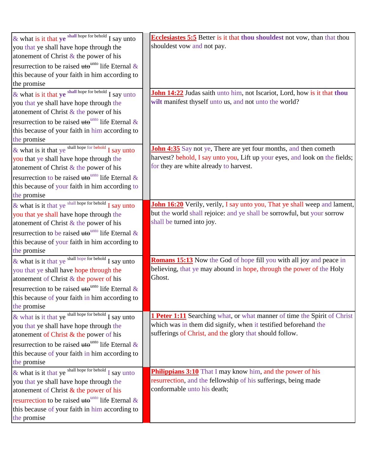| & what is it that $ye$ shall hope for behold I say unto                           | <b>Ecclesiastes 5:5 Better is it that thou shouldest not vow, than that thou</b>                                                                   |
|-----------------------------------------------------------------------------------|----------------------------------------------------------------------------------------------------------------------------------------------------|
| you that ye shall have hope through the                                           | shouldest vow and not pay.                                                                                                                         |
| atonement of Christ $\&$ the power of his                                         |                                                                                                                                                    |
| resurrection to be raised $\theta^{\text{unto}}$ life Eternal &                   |                                                                                                                                                    |
| this because of your faith in him according to                                    |                                                                                                                                                    |
| the promise                                                                       |                                                                                                                                                    |
| & what is it that ye shall hope for behold I say unto                             | John 14:22 Judas saith unto him, not Iscariot, Lord, how is it that thou                                                                           |
| you that ye shall have hope through the                                           | wilt manifest thyself unto us, and not unto the world?                                                                                             |
| atonement of Christ $&$ the power of his                                          |                                                                                                                                                    |
| resurrection to be raised uto unto life Eternal &                                 |                                                                                                                                                    |
| this because of your faith in him according to                                    |                                                                                                                                                    |
| the promise                                                                       |                                                                                                                                                    |
| & what is it that ye shall hope for behold I say unto                             | <b>John 4:35</b> Say not ye, There are yet four months, and then cometh                                                                            |
| you that ye shall have hope through the                                           | harvest? behold, I say unto you, Lift up your eyes, and look on the fields;                                                                        |
| atonement of Christ & the power of his                                            | for they are white already to harvest.                                                                                                             |
| resurrection to be raised $\theta$ <sup>tho unto</sup> life Eternal &             |                                                                                                                                                    |
| this because of your faith in him according to                                    |                                                                                                                                                    |
| the promise                                                                       |                                                                                                                                                    |
| & what is it that ye shall hope for behold $\overline{I}$ say unto                | John 16:20 Verily, verily, I say unto you, That ye shall weep and lament,                                                                          |
| you that ye shall have hope through the                                           | but the world shall rejoice: and ye shall be sorrowful, but your sorrow                                                                            |
| atonement of Christ & the power of his                                            | shall be turned into joy.                                                                                                                          |
| resurrection to be raised uto <sup>unto</sup> life Eternal &                      |                                                                                                                                                    |
| this because of your faith in him according to                                    |                                                                                                                                                    |
| the promise                                                                       |                                                                                                                                                    |
| & what is it that ye $\frac{\text{shall hope for behind}}{\text{I say unto}}$     | <b>Romans 15:13</b> Now the God of hope fill you with all joy and peace in                                                                         |
|                                                                                   | believing, that ye may abound in hope, through the power of the Holy                                                                               |
| you that ye shall have hope through the<br>atonement of Christ & the power of his | Ghost.                                                                                                                                             |
| resurrection to be raised $\text{tte}^{\text{unto}}$ life Eternal &               |                                                                                                                                                    |
|                                                                                   |                                                                                                                                                    |
| this because of your faith in him according to<br>the promise                     |                                                                                                                                                    |
|                                                                                   |                                                                                                                                                    |
| & what is it that ye shall hope for behold I say unto                             | <b>1 Peter 1:11</b> Searching what, or what manner of time the Spirit of Christ<br>which was in them did signify, when it testified beforehand the |
| you that ye shall have hope through the<br>atonement of Christ & the power of his | sufferings of Christ, and the glory that should follow.                                                                                            |
|                                                                                   |                                                                                                                                                    |
| resurrection to be raised $\text{ute}^{\text{unto}}$ life Eternal &               |                                                                                                                                                    |
| this because of your faith in him according to                                    |                                                                                                                                                    |
| the promise                                                                       |                                                                                                                                                    |
| & what is it that ye $\frac{\text{shall hope for behind}}{\text{I say unto}}$     | <b>Philippians 3:10</b> That I may know him, and the power of his<br>resurrection, and the fellowship of his sufferings, being made                |
| you that ye shall have hope through the                                           | conformable unto his death;                                                                                                                        |
| atonement of Christ $\&$ the power of his                                         |                                                                                                                                                    |
| resurrection to be raised $\text{tte}^{\text{unto}}$ life Eternal &               |                                                                                                                                                    |
| this because of your faith in him according to                                    |                                                                                                                                                    |
| the promise                                                                       |                                                                                                                                                    |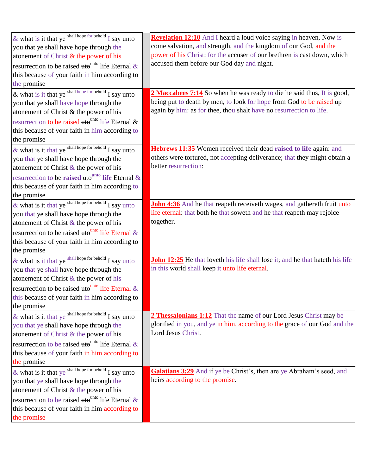| & what is it that ye shall hope for behold I say unto                         | <b>Revelation 12:10</b> And I heard a loud voice saying in heaven, Now is     |
|-------------------------------------------------------------------------------|-------------------------------------------------------------------------------|
| you that ye shall have hope through the                                       | come salvation, and strength, and the kingdom of our God, and the             |
| atonement of Christ $\&$ the power of his                                     | power of his Christ: for the accuser of our brethren is cast down, which      |
| resurrection to be raised $\text{ute}^{\text{unto}}$ life Eternal &           | accused them before our God day and night.                                    |
| this because of your faith in him according to                                |                                                                               |
| the promise                                                                   |                                                                               |
| & what is it that ye shall hope for behold $\overline{I}$ say unto            | 2 Maccabees 7:14 So when he was ready to die he said thus, It is good,        |
| you that ye shall have hope through the                                       | being put to death by men, to look for hope from God to be raised up          |
| atonement of Christ & the power of his                                        | again by him: as for thee, thou shalt have no resurrection to life.           |
| resurrection to be raised $\text{ute}^{\text{unto}}$ life Eternal &           |                                                                               |
| this because of your faith in him according to                                |                                                                               |
| the promise                                                                   |                                                                               |
| & what is it that ye shall hope for behold $\overline{I}$ say unto            | Hebrews 11:35 Women received their dead raised to life again: and             |
| you that ye shall have hope through the                                       | others were tortured, not accepting deliverance; that they might obtain a     |
| atonement of Christ $\&$ the power of his                                     | better resurrection:                                                          |
| resurrection to be raised $\text{ute}^{\text{unto}}$ life Eternal &           |                                                                               |
| this because of your faith in him according to                                |                                                                               |
| the promise                                                                   |                                                                               |
| & what is it that ye $\frac{\text{shall hope for behind}}{\text{I say unto}}$ | John 4:36 And he that reapeth receiveth wages, and gathereth fruit unto       |
| you that ye shall have hope through the                                       | life eternal: that both he that soweth and he that reapeth may rejoice        |
| atonement of Christ $\&$ the power of his                                     | together.                                                                     |
| resurrection to be raised $\theta$ <sup>tho</sup> life Eternal &              |                                                                               |
| this because of your faith in him according to                                |                                                                               |
| the promise                                                                   |                                                                               |
| & what is it that ye $\frac{\text{shall hope for behind}}{I}$ say unto        | John 12:25 He that loveth his life shall lose it; and he that hateth his life |
| you that ye shall have hope through the                                       | in this world shall keep it unto life eternal.                                |
| atonement of Christ $\&$ the power of his                                     |                                                                               |
| resurrection to be raised $\text{tte}^{\text{unto}}$ life Eternal &           |                                                                               |
| this because of your faith in him according to                                |                                                                               |
| the promise                                                                   |                                                                               |
| & what is it that ye shall hope for behold I say unto                         | 2 Thessalonians 1:12 That the name of our Lord Jesus Christ may be            |
| you that ye shall have hope through the                                       | glorified in you, and ye in him, according to the grace of our God and the    |
| atonement of Christ & the power of his                                        | Lord Jesus Christ.                                                            |
| resurrection to be raised $\text{ute}^{\text{unto}}$ life Eternal &           |                                                                               |
| this because of your faith in him according to                                |                                                                               |
| the promise                                                                   |                                                                               |
| & what is it that ye shall hope for behold I say unto                         | Galatians 3:29 And if ye be Christ's, then are ye Abraham's seed, and         |
| you that ye shall have hope through the                                       | heirs according to the promise.                                               |
| atonement of Christ $&$ the power of his                                      |                                                                               |
| resurrection to be raised $\text{tte}^{\text{unto}}$ life Eternal &           |                                                                               |
| this because of your faith in him according to                                |                                                                               |
| the promise                                                                   |                                                                               |